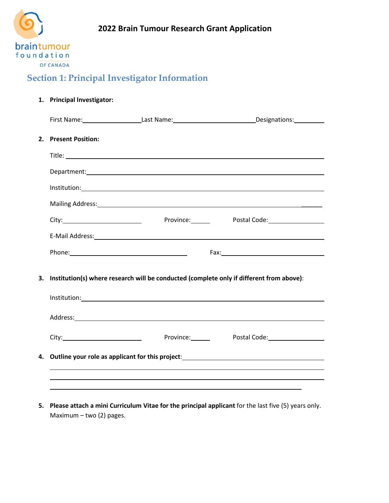

## **Section 1: Principal Investigator Information**

#### **1. Principal Investigator:**

| 2. Present Position: |                                                                                             |                                                                                                                                                                                                                               |
|----------------------|---------------------------------------------------------------------------------------------|-------------------------------------------------------------------------------------------------------------------------------------------------------------------------------------------------------------------------------|
|                      |                                                                                             |                                                                                                                                                                                                                               |
|                      |                                                                                             |                                                                                                                                                                                                                               |
|                      |                                                                                             |                                                                                                                                                                                                                               |
|                      |                                                                                             |                                                                                                                                                                                                                               |
|                      |                                                                                             | City: City: City: City: City: City: City: City: City: City: City: City: City: Content Code: Content Content City: City: City: City: City: City: City: City: City: City: City: City: City: City: City: City: City: City: City: |
|                      |                                                                                             |                                                                                                                                                                                                                               |
|                      |                                                                                             |                                                                                                                                                                                                                               |
|                      | 3. Institution(s) where research will be conducted (complete only if different from above): |                                                                                                                                                                                                                               |
|                      |                                                                                             |                                                                                                                                                                                                                               |
|                      |                                                                                             |                                                                                                                                                                                                                               |
|                      |                                                                                             | City: City: City: City: City: City: City: City: City: City: City: City: City: City: City: City: City: City: City: City: City: City: City: City: City: City: City: City: City: City: City: City: City: City: City: City: City: |
|                      | 4. Outline your role as applicant for this project:______________________________           |                                                                                                                                                                                                                               |

**5. Please attach a mini Curriculum Vitae for the principal applicant** for the last five (5) years only. Maximum – two (2) pages.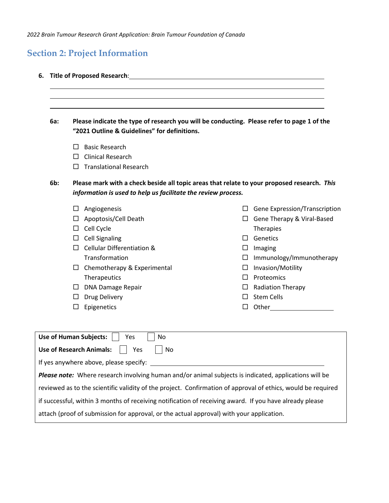*2022 Brain Tumour Research Grant Application: Brain Tumour Foundation of Canada*

# **Section 2: Project Information**

|  |  |  |  |  | 6. Title of Proposed Research: |
|--|--|--|--|--|--------------------------------|
|--|--|--|--|--|--------------------------------|

| 6a: |        | Please indicate the type of research you will be conducting. Please refer to page 1 of the<br>"2021 Outline & Guidelines" for definitions.                   |        |                                      |  |  |  |  |
|-----|--------|--------------------------------------------------------------------------------------------------------------------------------------------------------------|--------|--------------------------------------|--|--|--|--|
|     | Ш      | <b>Basic Research</b>                                                                                                                                        |        |                                      |  |  |  |  |
|     | $\Box$ | <b>Clinical Research</b>                                                                                                                                     |        |                                      |  |  |  |  |
|     | П      | <b>Translational Research</b>                                                                                                                                |        |                                      |  |  |  |  |
| 6b: |        | Please mark with a check beside all topic areas that relate to your proposed research. This<br>information is used to help us facilitate the review process. |        |                                      |  |  |  |  |
|     | ப      | Angiogenesis                                                                                                                                                 |        | $\Box$ Gene Expression/Transcription |  |  |  |  |
|     | ப      | Apoptosis/Cell Death                                                                                                                                         |        | $\Box$ Gene Therapy & Viral-Based    |  |  |  |  |
|     | $\Box$ | Cell Cycle                                                                                                                                                   |        | Therapies                            |  |  |  |  |
|     | $\Box$ | <b>Cell Signaling</b>                                                                                                                                        | $\Box$ | Genetics                             |  |  |  |  |
|     |        | $\Box$ Cellular Differentiation &                                                                                                                            | $\Box$ | Imaging                              |  |  |  |  |
|     |        | Transformation                                                                                                                                               |        | $\Box$ Immunology/Immunotherapy      |  |  |  |  |
|     |        | $\Box$ Chemotherapy & Experimental                                                                                                                           | $\Box$ | Invasion/Motility                    |  |  |  |  |
|     |        | Therapeutics                                                                                                                                                 | $\Box$ | Proteomics                           |  |  |  |  |
|     |        | $\Box$ DNA Damage Repair                                                                                                                                     | $\Box$ | <b>Radiation Therapy</b>             |  |  |  |  |
|     |        | $\Box$ Drug Delivery                                                                                                                                         | $\Box$ | <b>Stem Cells</b>                    |  |  |  |  |
|     | ப      | Epigenetics                                                                                                                                                  | $\Box$ | Other                                |  |  |  |  |
|     |        | <b>Use of Human Subjects:</b><br>No<br>Yes                                                                                                                   |        |                                      |  |  |  |  |
|     |        | <b>Use of Research Animals:</b><br>No<br>Yes                                                                                                                 |        |                                      |  |  |  |  |
|     |        | If yes anywhere above, please specify:                                                                                                                       |        |                                      |  |  |  |  |
|     |        | Please note: Where research involving human and/or animal subjects is indicated, applications will be                                                        |        |                                      |  |  |  |  |
|     |        | reviewed as to the scientific validity of the project. Confirmation of approval of ethics, would be required                                                 |        |                                      |  |  |  |  |
|     |        | if successful, within 3 months of receiving notification of receiving award. If you have already please                                                      |        |                                      |  |  |  |  |
|     |        | attach (proof of submission for approval, or the actual approval) with your application.                                                                     |        |                                      |  |  |  |  |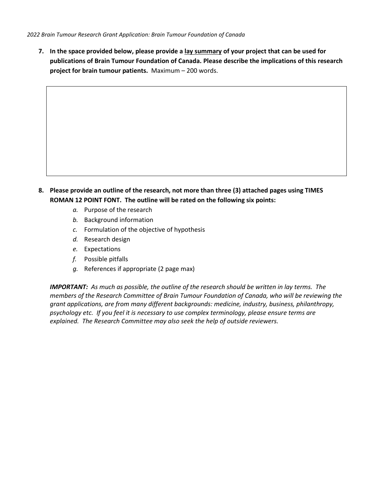**7. In the space provided below, please provide a lay summary of your project that can be used for publications of Brain Tumour Foundation of Canada. Please describe the implications of this research project for brain tumour patients.** Maximum – 200 words.

- **8. Please provide an outline of the research, not more than three (3) attached pages using TIMES ROMAN 12 POINT FONT. The outline will be rated on the following six points:**
	- *a.* Purpose of the research
	- *b.* Background information
	- *c.* Formulation of the objective of hypothesis
	- *d.* Research design
	- *e.* Expectations
	- *f.* Possible pitfalls
	- *g.* References if appropriate (2 page max)

*IMPORTANT: As much as possible, the outline of the research should be written in lay terms. The members of the Research Committee of Brain Tumour Foundation of Canada, who will be reviewing the grant applications, are from many different backgrounds: medicine, industry, business, philanthropy, psychology etc. If you feel it is necessary to use complex terminology, please ensure terms are explained. The Research Committee may also seek the help of outside reviewers.*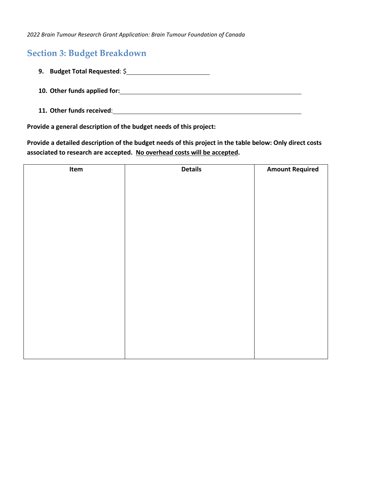*2022 Brain Tumour Research Grant Application: Brain Tumour Foundation of Canada*

### **Section 3: Budget Breakdown**

- **9. Budget Total Requested**: \$
- **10. Other funds applied for:**
- **11. Other funds received**:

**Provide a general description of the budget needs of this project:**

**Provide a detailed description of the budget needs of this project in the table below: Only direct costs associated to research are accepted. No overhead costs will be accepted.**

| Item | <b>Details</b> | <b>Amount Required</b> |
|------|----------------|------------------------|
|      |                |                        |
|      |                |                        |
|      |                |                        |
|      |                |                        |
|      |                |                        |
|      |                |                        |
|      |                |                        |
|      |                |                        |
|      |                |                        |
|      |                |                        |
|      |                |                        |
|      |                |                        |
|      |                |                        |
|      |                |                        |
|      |                |                        |
|      |                |                        |
|      |                |                        |
|      |                |                        |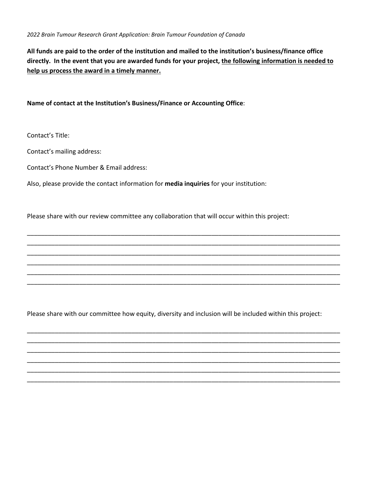**All funds are paid to the order of the institution and mailed to the institution's business/finance office directly. In the event that you are awarded funds for your project, the following information is needed to help us process the award in a timely manner.** 

**Name of contact at the Institution's Business/Finance or Accounting Office**:

Contact's Title:

Contact's mailing address:

Contact's Phone Number & Email address:

Also, please provide the contact information for **media inquiries** for your institution:

Please share with our review committee any collaboration that will occur within this project:

Please share with our committee how equity, diversity and inclusion will be included within this project:

\_\_\_\_\_\_\_\_\_\_\_\_\_\_\_\_\_\_\_\_\_\_\_\_\_\_\_\_\_\_\_\_\_\_\_\_\_\_\_\_\_\_\_\_\_\_\_\_\_\_\_\_\_\_\_\_\_\_\_\_\_\_\_\_\_\_\_\_\_\_\_\_\_\_\_\_\_\_\_\_\_\_\_\_\_\_\_\_\_\_ \_\_\_\_\_\_\_\_\_\_\_\_\_\_\_\_\_\_\_\_\_\_\_\_\_\_\_\_\_\_\_\_\_\_\_\_\_\_\_\_\_\_\_\_\_\_\_\_\_\_\_\_\_\_\_\_\_\_\_\_\_\_\_\_\_\_\_\_\_\_\_\_\_\_\_\_\_\_\_\_\_\_\_\_\_\_\_\_\_\_ \_\_\_\_\_\_\_\_\_\_\_\_\_\_\_\_\_\_\_\_\_\_\_\_\_\_\_\_\_\_\_\_\_\_\_\_\_\_\_\_\_\_\_\_\_\_\_\_\_\_\_\_\_\_\_\_\_\_\_\_\_\_\_\_\_\_\_\_\_\_\_\_\_\_\_\_\_\_\_\_\_\_\_\_\_\_\_\_\_\_ \_\_\_\_\_\_\_\_\_\_\_\_\_\_\_\_\_\_\_\_\_\_\_\_\_\_\_\_\_\_\_\_\_\_\_\_\_\_\_\_\_\_\_\_\_\_\_\_\_\_\_\_\_\_\_\_\_\_\_\_\_\_\_\_\_\_\_\_\_\_\_\_\_\_\_\_\_\_\_\_\_\_\_\_\_\_\_\_\_\_ \_\_\_\_\_\_\_\_\_\_\_\_\_\_\_\_\_\_\_\_\_\_\_\_\_\_\_\_\_\_\_\_\_\_\_\_\_\_\_\_\_\_\_\_\_\_\_\_\_\_\_\_\_\_\_\_\_\_\_\_\_\_\_\_\_\_\_\_\_\_\_\_\_\_\_\_\_\_\_\_\_\_\_\_\_\_\_\_\_\_ \_\_\_\_\_\_\_\_\_\_\_\_\_\_\_\_\_\_\_\_\_\_\_\_\_\_\_\_\_\_\_\_\_\_\_\_\_\_\_\_\_\_\_\_\_\_\_\_\_\_\_\_\_\_\_\_\_\_\_\_\_\_\_\_\_\_\_\_\_\_\_\_\_\_\_\_\_\_\_\_\_\_\_\_\_\_\_\_\_\_

\_\_\_\_\_\_\_\_\_\_\_\_\_\_\_\_\_\_\_\_\_\_\_\_\_\_\_\_\_\_\_\_\_\_\_\_\_\_\_\_\_\_\_\_\_\_\_\_\_\_\_\_\_\_\_\_\_\_\_\_\_\_\_\_\_\_\_\_\_\_\_\_\_\_\_\_\_\_\_\_\_\_\_\_\_\_\_\_\_\_ \_\_\_\_\_\_\_\_\_\_\_\_\_\_\_\_\_\_\_\_\_\_\_\_\_\_\_\_\_\_\_\_\_\_\_\_\_\_\_\_\_\_\_\_\_\_\_\_\_\_\_\_\_\_\_\_\_\_\_\_\_\_\_\_\_\_\_\_\_\_\_\_\_\_\_\_\_\_\_\_\_\_\_\_\_\_\_\_\_\_ \_\_\_\_\_\_\_\_\_\_\_\_\_\_\_\_\_\_\_\_\_\_\_\_\_\_\_\_\_\_\_\_\_\_\_\_\_\_\_\_\_\_\_\_\_\_\_\_\_\_\_\_\_\_\_\_\_\_\_\_\_\_\_\_\_\_\_\_\_\_\_\_\_\_\_\_\_\_\_\_\_\_\_\_\_\_\_\_\_\_ \_\_\_\_\_\_\_\_\_\_\_\_\_\_\_\_\_\_\_\_\_\_\_\_\_\_\_\_\_\_\_\_\_\_\_\_\_\_\_\_\_\_\_\_\_\_\_\_\_\_\_\_\_\_\_\_\_\_\_\_\_\_\_\_\_\_\_\_\_\_\_\_\_\_\_\_\_\_\_\_\_\_\_\_\_\_\_\_\_\_ \_\_\_\_\_\_\_\_\_\_\_\_\_\_\_\_\_\_\_\_\_\_\_\_\_\_\_\_\_\_\_\_\_\_\_\_\_\_\_\_\_\_\_\_\_\_\_\_\_\_\_\_\_\_\_\_\_\_\_\_\_\_\_\_\_\_\_\_\_\_\_\_\_\_\_\_\_\_\_\_\_\_\_\_\_\_\_\_\_\_ \_\_\_\_\_\_\_\_\_\_\_\_\_\_\_\_\_\_\_\_\_\_\_\_\_\_\_\_\_\_\_\_\_\_\_\_\_\_\_\_\_\_\_\_\_\_\_\_\_\_\_\_\_\_\_\_\_\_\_\_\_\_\_\_\_\_\_\_\_\_\_\_\_\_\_\_\_\_\_\_\_\_\_\_\_\_\_\_\_\_